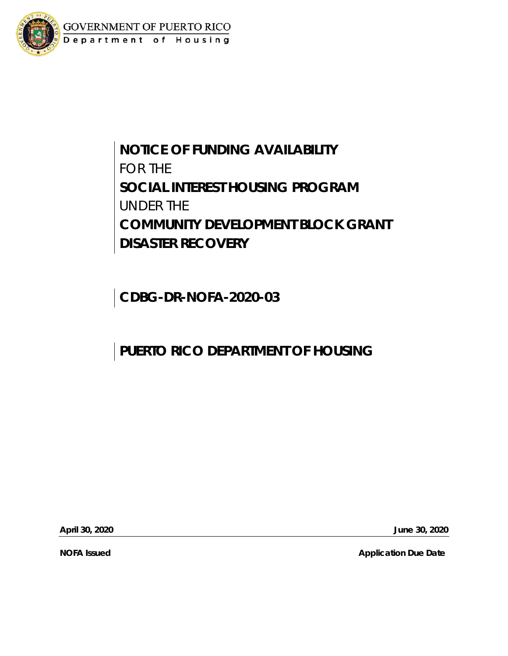

GOVERNMENT OF PUERTO RICO<br>Department of Housing

# **NOTICE OF FUNDING AVAILABILITY** FOR THE **SOCIAL INTEREST HOUSING PROGRAM** UNDER THE **COMMUNITY DEVELOPMENT BLOCK GRANT DISASTER RECOVERY**

**CDBG-DR-NOFA-2020-03**

# **PUERTO RICO DEPARTMENT OF HOUSING**

**April 30, 2020 June 30, 2020**

**NOFA Issued Application Due Date**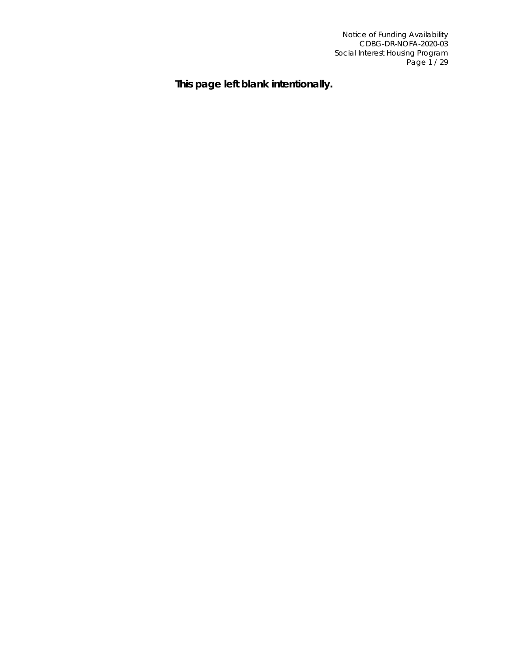Notice of Funding Availability CDBG-DR-NOFA-2020-03 Social Interest Housing Program Page 1 / 29

**This page left blank intentionally.**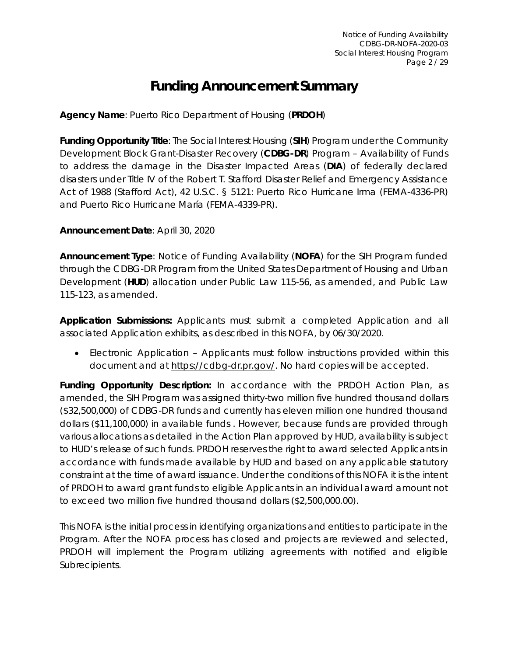## **Funding Announcement Summary**

**Agency Name**: Puerto Rico Department of Housing (**PRDOH**)

**Funding Opportunity Title**: The Social Interest Housing (**SIH**) Program under the Community Development Block Grant-Disaster Recovery (**CDBG-DR**) Program – Availability of Funds to address the damage in the Disaster Impacted Areas (**DIA**) of federally declared disasters under Title IV of the Robert T. Stafford Disaster Relief and Emergency Assistance Act of 1988 (Stafford Act), 42 U.S.C. § 5121: Puerto Rico Hurricane Irma (FEMA-4336-PR) and Puerto Rico Hurricane María (FEMA-4339-PR).

**Announcement Date**: April 30, 2020

**Announcement Type**: Notice of Funding Availability (**NOFA**) for the SIH Program funded through the CDBG-DR Program from the United States Department of Housing and Urban Development (**HUD**) allocation under Public Law 115-56, as amended, and Public Law 115-123, as amended.

**Application Submissions:** Applicants must submit a completed Application and all associated Application exhibits, as described in this NOFA, by 06/30/2020.

• Electronic Application – Applicants must follow instructions provided within this document and at [https://cdbg-dr.pr.gov/.](https://cdbg-dr.pr.gov/) No hard copies will be accepted.

**Funding Opportunity Description:** In accordance with the PRDOH Action Plan, as amended, the SIH Program was assigned thirty-two million five hundred thousand dollars (\$32,500,000) of CDBG-DR funds and currently has eleven million one hundred thousand dollars (\$11,100,000) in available funds . However, because funds are provided through various allocations as detailed in the Action Plan approved by HUD, availability is subject to HUD's release of such funds. PRDOH reserves the right to award selected Applicants in accordance with funds made available by HUD and based on any applicable statutory constraint at the time of award issuance. Under the conditions of this NOFA it is the intent of PRDOH to award grant funds to eligible Applicants in an individual award amount not to exceed two million five hundred thousand dollars (\$2,500,000.00).

This NOFA is the initial process in identifying organizations and entities to participate in the Program. After the NOFA process has closed and projects are reviewed and selected, PRDOH will implement the Program utilizing agreements with notified and eligible Subrecipients.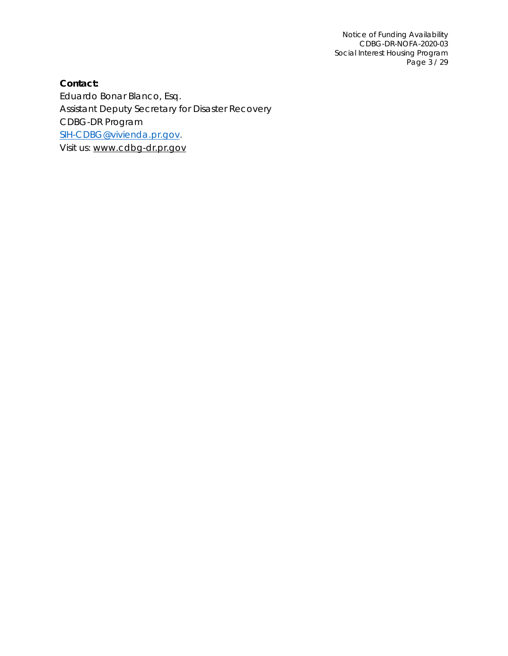Notice of Funding Availability CDBG-DR-NOFA-2020-03 Social Interest Housing Program Page 3 / 29

**Contact:** Eduardo Bonar Blanco, Esq. Assistant Deputy Secretary for Disaster Recovery CDBG-DR Program [SIH-CDBG@vivienda.pr.gov.](mailto:SIH-CDBG@vivienda.pr.gov) Visit us: [www.cdbg-dr.pr.gov](http://www.cdbg-dr.pr.gov/)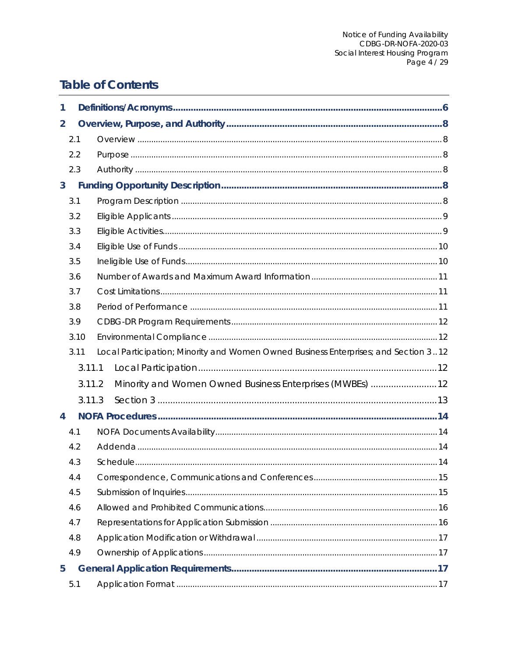## **Table of Contents**

| 1              |        |                                                                                     |  |
|----------------|--------|-------------------------------------------------------------------------------------|--|
| $\overline{2}$ |        |                                                                                     |  |
|                | 2.1    |                                                                                     |  |
|                | 2.2    |                                                                                     |  |
|                | 2.3    |                                                                                     |  |
| $\overline{3}$ |        |                                                                                     |  |
|                | 3.1    |                                                                                     |  |
|                | 3.2    |                                                                                     |  |
|                | 3.3    |                                                                                     |  |
|                | 3.4    |                                                                                     |  |
|                | 3.5    |                                                                                     |  |
|                | 3.6    |                                                                                     |  |
|                | 3.7    |                                                                                     |  |
|                | 3.8    |                                                                                     |  |
|                | 3.9    |                                                                                     |  |
|                | 3.10   |                                                                                     |  |
|                | 3.11   | Local Participation; Minority and Women Owned Business Enterprises; and Section 312 |  |
|                | 3.11.1 |                                                                                     |  |
|                | 3.11.2 | Minority and Women Owned Business Enterprises (MWBEs) 12                            |  |
|                | 3.11.3 |                                                                                     |  |
| 4              |        |                                                                                     |  |
|                | 4.1    |                                                                                     |  |
|                | 4.2    |                                                                                     |  |
|                | 4.3    |                                                                                     |  |
|                | 4.4    |                                                                                     |  |
|                | 4.5    |                                                                                     |  |
|                | 4.6    |                                                                                     |  |
|                | 4.7    |                                                                                     |  |
|                | 4.8    |                                                                                     |  |
|                | 4.9    |                                                                                     |  |
| 5              |        |                                                                                     |  |
|                | 5.1    |                                                                                     |  |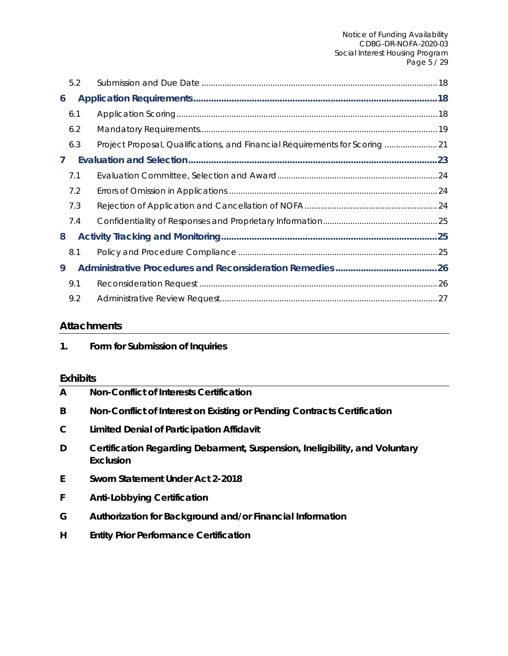| 5.2           |                                                                          |  |
|---------------|--------------------------------------------------------------------------|--|
| 6             |                                                                          |  |
| 6.1           |                                                                          |  |
| 6.2           |                                                                          |  |
| 6.3           | Project Proposal, Qualifications, and Financial Requirements for Scoring |  |
| $\mathcal{I}$ |                                                                          |  |
| 7.1           |                                                                          |  |
| 7.2           |                                                                          |  |
| 7.3           |                                                                          |  |
| 7.4           |                                                                          |  |
| 8             |                                                                          |  |
| 8.1           |                                                                          |  |
| 9             |                                                                          |  |
| 9.1           |                                                                          |  |
| 9.2           |                                                                          |  |

#### **Attachments**

| 1. |  | Form for Submission of Inquiries |  |
|----|--|----------------------------------|--|
|    |  |                                  |  |

#### **Exhibits**

| А  | Non-Conflict of Interests Certification                                                         |
|----|-------------------------------------------------------------------------------------------------|
| B  | Non-Conflict of Interest on Existing or Pending Contracts Certification                         |
| C. | Limited Denial of Participation Affidavit                                                       |
| D  | Certification Regarding Debarment, Suspension, Ineligibility, and Voluntary<br><b>Exclusion</b> |
| E  | Sworn Statement Under Act 2-2018                                                                |
| F. | <b>Anti-Lobbying Certification</b>                                                              |
| G. | Authorization for Background and/or Financial Information                                       |
|    |                                                                                                 |

**H Entity Prior Performance Certification**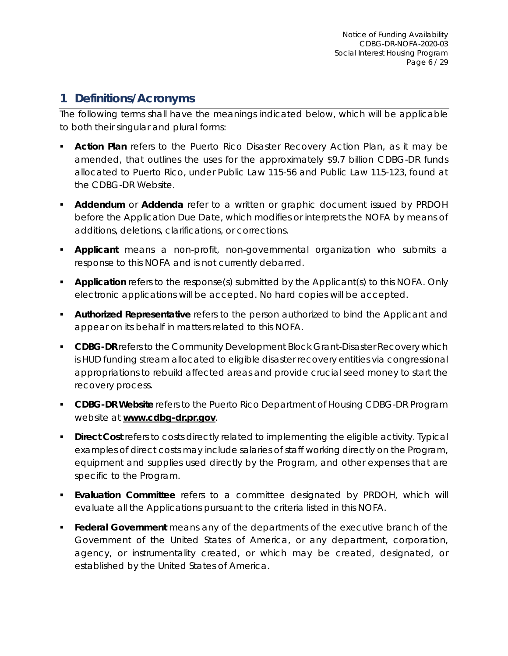### <span id="page-6-0"></span>**1 Definitions/Acronyms**

The following terms shall have the meanings indicated below, which will be applicable to both their singular and plural forms:

- **Action Plan** refers to the Puerto Rico Disaster Recovery Action Plan, as it may be amended, that outlines the uses for the approximately \$9.7 billion CDBG-DR funds allocated to Puerto Rico, under Public Law 115-56 and Public Law 115-123, [found](http://found/) at the CDBG-DR Website.
- **Addendum** or **Addenda** refer to a written or graphic document issued by PRDOH before the Application Due Date, which modifies or interprets the NOFA by means of additions, deletions, clarifications, or corrections.
- **Applicant** means a non-profit, non-governmental organization who submits a response to this NOFA and is not currently debarred.
- **Application** refers to the response(s) submitted by the Applicant(s) to this NOFA. Only electronic applications will be accepted. No hard copies will be accepted.
- **Authorized Representative** refers to the person authorized to bind the Applicant and appear on its behalf in matters related to this NOFA.
- **CDBG-DR** refers to the Community Development Block Grant-Disaster Recovery which is HUD funding stream allocated to eligible disaster recovery entities via congressional appropriations to rebuild affected areas and provide crucial seed money to start the recovery process.
- **CDBG-DR Website** refers to the Puerto Rico Department of Housing CDBG-DR Program website at **[www.cdbg-dr.pr.gov](http://www.cdbg-dr.pr.gov/)**.
- **Direct Cost** refers to costs directly related to implementing the eligible activity. Typical examples of direct costs may include salaries of staff working directly on the Program, equipment and supplies used directly by the Program, and other expenses that are specific to the Program.
- **Evaluation Committee** refers to a committee designated by PRDOH, which will evaluate all the Applications pursuant to the criteria listed in this NOFA.
- **Federal Government** means any of the departments of the executive branch of the Government of the United States of America, or any department, corporation, agency, or instrumentality created, or which may be created, designated, or established by the United States of America.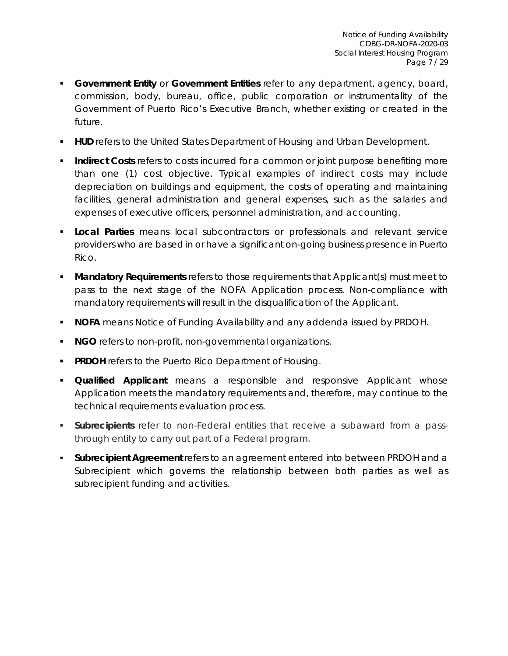- **Government Entity** or **Government Entities** refer to any department, agency, board, commission, body, bureau, office, public corporation or instrumentality of the Government of Puerto Rico's Executive Branch, whether existing or created in the future.
- **HUD** refers to the United States Department of Housing and Urban Development.
- **Indirect Costs** refers to costs incurred for a common or joint purpose benefiting more than one (1) cost objective. Typical examples of indirect costs may include depreciation on buildings and equipment, the costs of operating and maintaining facilities, general administration and general expenses, such as the salaries and expenses of executive officers, personnel administration, and accounting.
- **Local Parties** means local subcontractors or professionals and relevant service providers who are based in or have a significant on-going business presence in Puerto Rico.
- **Mandatory Requirements** refers to those requirements that Applicant(s) must meet to pass to the next stage of the NOFA Application process. Non-compliance with mandatory requirements will result in the disqualification of the Applicant.
- **NOFA** means Notice of Funding Availability and any addenda issued by PRDOH.
- **NGO** refers to non-profit, non-governmental organizations.
- **PRDOH** refers to the Puerto Rico Department of Housing.
- **Qualified Applicant** means a responsible and responsive Applicant whose Application meets the mandatory requirements and, therefore, may continue to the technical requirements evaluation process.
- **Subrecipients** refer to non-Federal entities that receive a subaward from a passthrough entity to carry out part of a Federal program.
- **Subrecipient Agreement** refers to an agreement entered into between PRDOH and a Subrecipient which governs the relationship between both parties as well as subrecipient funding and activities.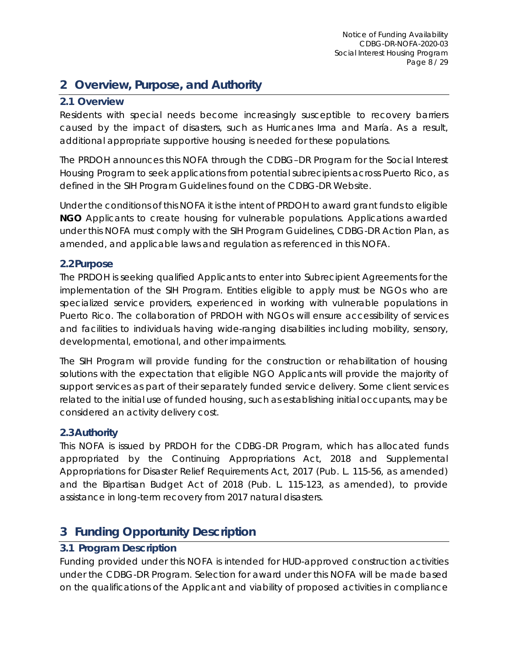## <span id="page-8-0"></span>**2 Overview, Purpose, and Authority**

#### <span id="page-8-1"></span>**2.1 Overview**

Residents with special needs become increasingly susceptible to recovery barriers caused by the impact of disasters, such as Hurricanes Irma and María. As a result, additional appropriate supportive housing is needed for these populations.

The PRDOH announces this NOFA through the CDBG–DR Program for the Social Interest Housing Program to seek applications from potential subrecipients across Puerto Rico, as defined in the SIH Program Guidelines found on the CDBG-DR Website.

Under the conditions of this NOFA it is the intent of PRDOH to award grant funds to eligible **NGO** Applicants to create housing for vulnerable populations. Applications awarded under this NOFA must comply with the SIH Program Guidelines, CDBG-DR Action Plan, as amended, and applicable laws and regulation as referenced in this NOFA.

#### <span id="page-8-2"></span>**2.2Purpose**

The PRDOH is seeking qualified Applicants to enter into Subrecipient Agreements for the implementation of the SIH Program. Entities eligible to apply must be NGOs who are specialized service providers, experienced in working with vulnerable populations in Puerto Rico. The collaboration of PRDOH with NGOs will ensure accessibility of services and facilities to individuals having wide-ranging disabilities including mobility, sensory, developmental, emotional, and other impairments.

The SIH Program will provide funding for the construction or rehabilitation of housing solutions with the expectation that eligible NGO Applicants will provide the majority of support services as part of their separately funded service delivery. Some client services related to the initial use of funded housing, such as establishing initial occupants, may be considered an activity delivery cost.

#### <span id="page-8-3"></span>**2.3Authority**

This NOFA is issued by PRDOH for the CDBG-DR Program, which has allocated funds appropriated by the Continuing Appropriations Act, 2018 and Supplemental Appropriations for Disaster Relief Requirements Act, 2017 (Pub. L. 115-56, as amended) and the Bipartisan Budget Act of 2018 (Pub. L. 115-123, as amended), to provide assistance in long-term recovery from 2017 natural disasters.

## <span id="page-8-4"></span>**3 Funding Opportunity Description**

#### <span id="page-8-5"></span>**3.1 Program Description**

Funding provided under this NOFA is intended for HUD-approved construction activities under the CDBG-DR Program. Selection for award under this NOFA will be made based on the qualifications of the Applicant and viability of proposed activities in compliance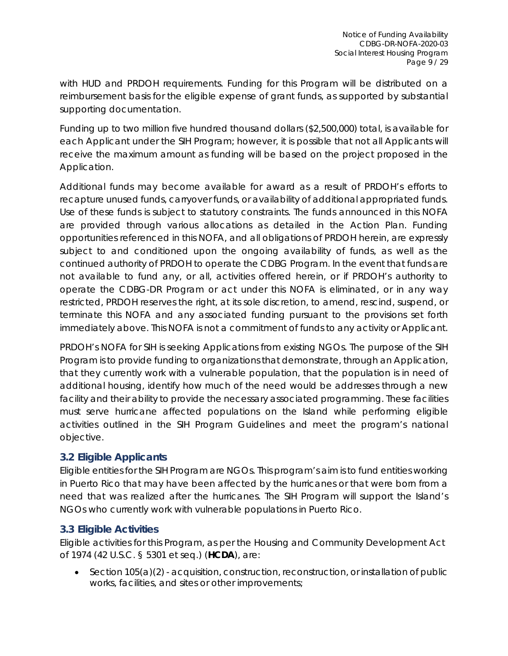with HUD and PRDOH requirements. Funding for this Program will be distributed on a reimbursement basis for the eligible expense of grant funds, as supported by substantial supporting documentation.

Funding up to two million five hundred thousand dollars (\$2,500,000) total, is available for each Applicant under the SIH Program; however, it is possible that not all Applicants will receive the maximum amount as funding will be based on the project proposed in the Application.

Additional funds may become available for award as a result of PRDOH's efforts to recapture unused funds, carryover funds, or availability of additional appropriated funds. Use of these funds is subject to statutory constraints. The funds announced in this NOFA are provided through various allocations as detailed in the Action Plan. Funding opportunities referenced in this NOFA, and all obligations of PRDOH herein, are expressly subject to and conditioned upon the ongoing availability of funds, as well as the continued authority of PRDOH to operate the CDBG Program. In the event that funds are not available to fund any, or all, activities offered herein, or if PRDOH's authority to operate the CDBG-DR Program or act under this NOFA is eliminated, or in any way restricted, PRDOH reserves the right, at its sole discretion, to amend, rescind, suspend, or terminate this NOFA and any associated funding pursuant to the provisions set forth immediately above. This NOFA is not a commitment of funds to any activity or Applicant.

PRDOH's NOFA for SIH is seeking Applications from existing NGOs. The purpose of the SIH Program is to provide funding to organizations that demonstrate, through an Application, that they currently work with a vulnerable population, that the population is in need of additional housing, identify how much of the need would be addresses through a new facility and their ability to provide the necessary associated programming. These facilities must serve hurricane affected populations on the Island while performing eligible activities outlined in the SIH Program Guidelines and meet the program's national objective.

#### <span id="page-9-0"></span>**3.2 Eligible Applicants**

Eligible entities for the SIH Program are NGOs. This program's aim is to fund entities working in Puerto Rico that may have been affected by the hurricanes or that were born from a need that was realized after the hurricanes. The SIH Program will support the Island's NGOs who currently work with vulnerable populations in Puerto Rico.

#### <span id="page-9-1"></span>**3.3 Eligible Activities**

Eligible activities for this Program, as per the Housing and Community Development Act of 1974 (42 U.S.C. § 5301 *et seq*.) (**HCDA**), are:

• Section 105(a)(2) - acquisition, construction, reconstruction, or installation of public works, facilities, and sites or other improvements;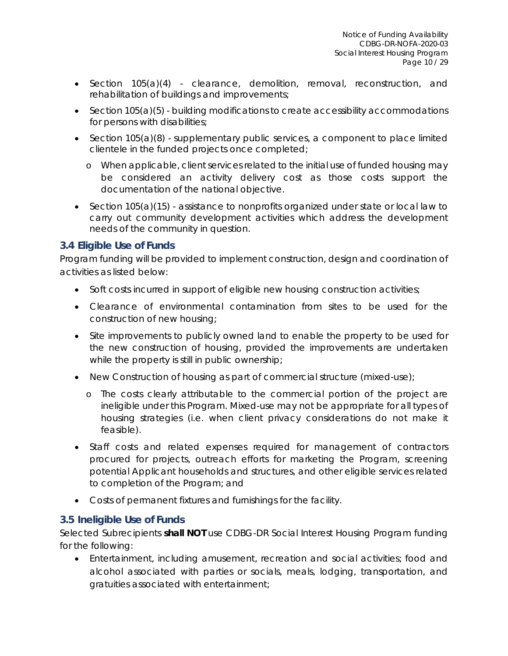- Section 105(a)(4) clearance, demolition, removal, reconstruction, and rehabilitation of buildings and improvements;
- Section 105(a)(5) building modifications to create accessibility accommodations for persons with disabilities;
- Section 105(a)(8) supplementary public services, a component to place limited clientele in the funded projects once completed;
	- o When applicable, client services related to the initial use of funded housing may be considered an activity delivery cost as those costs support the documentation of the national objective.
- Section 105(a)(15) assistance to nonprofits organized under state or local law to carry out community development activities which address the development needs of the community in question.

#### <span id="page-10-0"></span>**3.4 Eligible Use of Funds**

Program funding will be provided to implement construction, design and coordination of activities as listed below:

- Soft costs incurred in support of eligible new housing construction activities;
- Clearance of environmental contamination from sites to be used for the construction of new housing;
- Site improvements to publicly owned land to enable the property to be used for the new construction of housing, provided the improvements are undertaken while the property is still in public ownership;
- New Construction of housing as part of commercial structure (mixed-use);
	- o The costs clearly attributable to the commercial portion of the project are ineligible under this Program. Mixed-use may not be appropriate for all types of housing strategies (i.e. when client privacy considerations do not make it feasible).
- Staff costs and related expenses required for management of contractors procured for projects, outreach efforts for marketing the Program, screening potential Applicant households and structures, and other eligible services related to completion of the Program; and
- Costs of permanent fixtures and furnishings for the facility.

#### <span id="page-10-1"></span>**3.5 Ineligible Use of Funds**

Selected Subrecipients **shall NOT** use CDBG-DR Social Interest Housing Program funding for the following:

• Entertainment, including amusement, recreation and social activities; food and alcohol associated with parties or socials, meals, lodging, transportation, and gratuities associated with entertainment;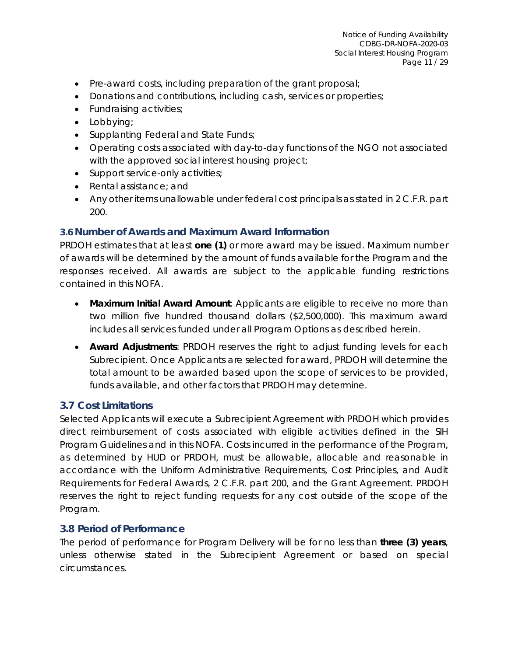- Pre-award costs, including preparation of the grant proposal;
- Donations and contributions, including cash, services or properties;
- Fundraising activities;
- Lobbying;
- Supplanting Federal and State Funds;
- Operating costs associated with day-to-day functions of the NGO not associated with the approved social interest housing project;
- Support service-only activities;
- Rental assistance; and
- Any other items unallowable under federal cost principals as stated in 2 C.F.R. part 200.

#### <span id="page-11-0"></span>**3.6 Number of Awards and Maximum Award Information**

PRDOH estimates that at least **one (1)** or more award may be issued. Maximum number of awards will be determined by the amount of funds available for the Program and the responses received. All awards are subject to the applicable funding restrictions contained in this NOFA.

- **Maximum Initial Award Amount**: Applicants are eligible to receive no more than two million five hundred thousand dollars (\$2,500,000). This maximum award includes all services funded under all Program Options as described herein.
- **Award Adjustments**: PRDOH reserves the right to adjust funding levels for each Subrecipient. Once Applicants are selected for award, PRDOH will determine the total amount to be awarded based upon the scope of services to be provided, funds available, and other factors that PRDOH may determine.

#### <span id="page-11-1"></span>**3.7 Cost Limitations**

Selected Applicants will execute a Subrecipient Agreement with PRDOH which provides direct reimbursement of costs associated with eligible activities defined in the SIH Program Guidelines and in this NOFA. Costs incurred in the performance of the Program, as determined by HUD or PRDOH, must be allowable, allocable and reasonable in accordance with the Uniform Administrative Requirements, Cost Principles, and Audit Requirements for Federal Awards, 2 C.F.R. part 200, and the Grant Agreement. PRDOH reserves the right to reject funding requests for any cost outside of the scope of the Program.

#### <span id="page-11-2"></span>**3.8 Period of Performance**

The period of performance for Program Delivery will be for no less than **three (3) years**, unless otherwise stated in the Subrecipient Agreement or based on special circumstances.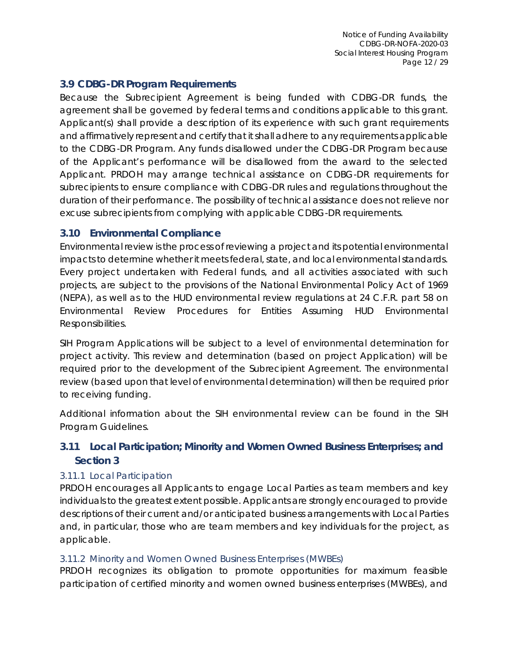#### <span id="page-12-0"></span>**3.9 CDBG-DR Program Requirements**

Because the Subrecipient Agreement is being funded with CDBG-DR funds, the agreement shall be governed by federal terms and conditions applicable to this grant. Applicant(s) shall provide a description of its experience with such grant requirements and affirmatively represent and certify that it shall adhere to any requirements applicable to the CDBG-DR Program. Any funds disallowed under the CDBG-DR Program because of the Applicant's performance will be disallowed from the award to the selected Applicant. PRDOH may arrange technical assistance on CDBG-DR requirements for subrecipients to ensure compliance with CDBG-DR rules and regulations throughout the duration of their performance. The possibility of technical assistance does not relieve nor excuse subrecipients from complying with applicable CDBG-DR requirements.

#### <span id="page-12-1"></span>**3.10 Environmental Compliance**

Environmental review is the process of reviewing a project and its potential environmental impacts to determine whether it meets federal, state, and local environmental standards. Every project undertaken with Federal funds, and all activities associated with such projects, are subject to the provisions of the National Environmental Policy Act of 1969 (NEPA), as well as to the HUD environmental review regulations at 24 C.F.R. part 58 on Environmental Review Procedures for Entities Assuming HUD Environmental Responsibilities.

SIH Program Applications will be subject to a level of environmental determination for project activity. This review and determination (based on project Application) will be required prior to the development of the Subrecipient Agreement. The environmental review (based upon that level of environmental determination) will then be required prior to receiving funding.

Additional information about the SIH environmental review can be found in the SIH Program Guidelines.

#### <span id="page-12-2"></span>**3.11 Local Participation; Minority and Women Owned Business Enterprises; and Section 3**

#### <span id="page-12-3"></span>3.11.1 Local Participation

PRDOH encourages all Applicants to engage Local Parties as team members and key individuals to the greatest extent possible. Applicants are strongly encouraged to provide descriptions of their current and/or anticipated business arrangements with Local Parties and, in particular, those who are team members and key individuals for the project, as applicable.

#### <span id="page-12-4"></span>3.11.2 Minority and Women Owned Business Enterprises (MWBEs)

PRDOH recognizes its obligation to promote opportunities for maximum feasible participation of certified minority and women owned business enterprises (MWBEs), and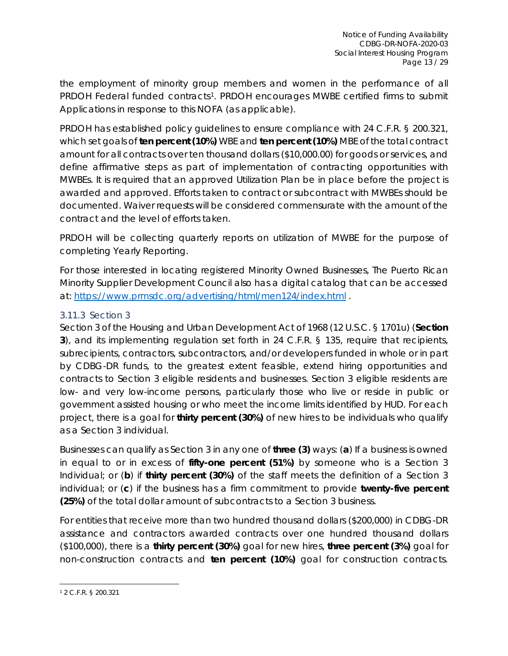the employment of minority group members and women in the performance of all PRDOH Federal funded contracts[1.](#page-13-1) PRDOH encourages MWBE certified firms to submit Applications in response to this NOFA (as applicable).

PRDOH has established policy guidelines to ensure compliance with 24 C.F.R. § 200.321, which set goals of **ten percent (10%)** WBE and **ten percent (10%)** MBE of the total contract amount for all contracts over ten thousand dollars (\$10,000.00) for goods or services, and define affirmative steps as part of implementation of contracting opportunities with MWBEs. It is required that an approved Utilization Plan be in place before the project is awarded and approved. Efforts taken to contract or subcontract with MWBEs should be documented. Waiver requests will be considered commensurate with the amount of the contract and the level of efforts taken.

PRDOH will be collecting quarterly reports on utilization of MWBE for the purpose of completing Yearly Reporting.

For those interested in locating registered Minority Owned Businesses, The Puerto Rican Minority Supplier Development Council also has a digital catalog that can be accessed at:<https://www.prmsdc.org/advertising/html/men124/index.html> .

#### <span id="page-13-0"></span>3.11.3 Section 3

Section 3 of the Housing and Urban Development Act of 1968 (12 U.S.C. § 1701u) (**Section 3**), and its implementing regulation set forth in 24 C.F.R. § 135, require that recipients, subrecipients, contractors, subcontractors, and/or developers funded in whole or in part by CDBG-DR funds, to the greatest extent feasible, extend hiring opportunities and contracts to Section 3 eligible residents and businesses. Section 3 eligible residents are low- and very low-income persons, particularly those who live or reside in public or government assisted housing or who meet the income limits identified by HUD. For each project, there is a goal for **thirty percent (30%)** of new hires to be individuals who qualify as a Section 3 individual.

Businesses can qualify as Section 3 in any one of **three (3)** ways: (**a**) If a business is owned in equal to or in excess of **fifty-one percent (51%)** by someone who is a Section 3 Individual; or (**b**) if **thirty percent (30%)** of the staff meets the definition of a Section 3 individual; or (**c**) if the business has a firm commitment to provide **twenty-five percent (25%)** of the total dollar amount of subcontracts to a Section 3 business.

For entities that receive more than two hundred thousand dollars (\$200,000) in CDBG-DR assistance and contractors awarded contracts over one hundred thousand dollars (\$100,000), there is a **thirty percent (30%)** goal for new hires, **three percent (3%)** goal for non-construction contracts and **ten percent (10%)** goal for construction contracts.

<span id="page-13-1"></span><sup>1</sup> 2 C.F.R. § 200.321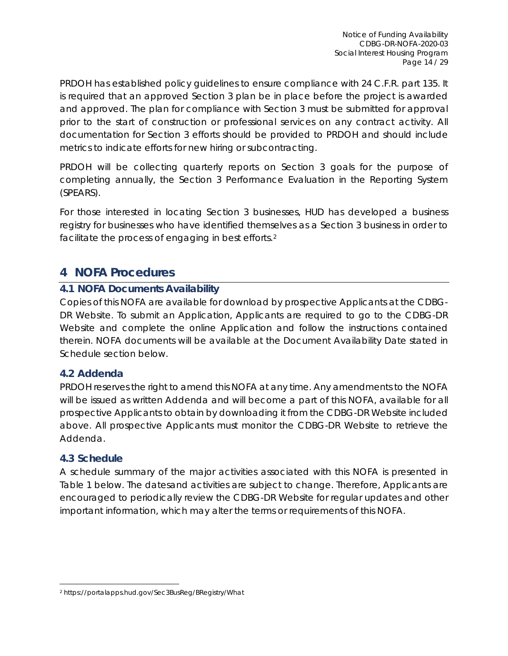PRDOH has established policy guidelines to ensure compliance with 24 C.F.R. part 135. It is required that an approved Section 3 plan be in place before the project is awarded and approved. The plan for compliance with Section 3 must be submitted for approval prior to the start of construction or professional services on any contract activity. All documentation for Section 3 efforts should be provided to PRDOH and should include metrics to indicate efforts for new hiring or subcontracting.

PRDOH will be collecting quarterly reports on Section 3 goals for the purpose of completing annually, the Section 3 Performance Evaluation in the Reporting System (SPEARS).

For those interested in locating Section 3 businesses, HUD has developed a business registry for businesses who have identified themselves as a Section 3 business in order to facilitate the process of engaging in best efforts.<sup>[2](#page-14-4)</sup>

## <span id="page-14-0"></span>**4 NOFA Procedures**

#### <span id="page-14-1"></span>**4.1 NOFA Documents Availability**

Copies of this NOFA are available for download by prospective Applicants at the CDBG-DR Website. To submit an Application, Applicants are required to go to the CDBG-DR Website and complete the online Application and follow the instructions contained therein. NOFA documents will be available at the Document Availability Date stated in Schedule section below.

#### <span id="page-14-2"></span>**4.2 Addenda**

PRDOH reserves the right to amend this NOFA at any time. Any amendments to the NOFA will be issued as written Addenda and will become a part of this NOFA, available for all prospective Applicants to obtain by downloading it from the CDBG-DR Website included above. All prospective Applicants must monitor the CDBG-DR Website to retrieve the Addenda.

#### <span id="page-14-3"></span>**4.3 Schedule**

A schedule summary of the major activities associated with this NOFA is presented in Table 1 below. The datesand activities are subject to change. Therefore, Applicants are encouraged to periodically review the CDBG-DR Website for regular updates and other important information, which may alter the terms or requirements of this NOFA.

<span id="page-14-4"></span><sup>2</sup> https://portalapps.hud.gov/Sec3BusReg/BRegistry/What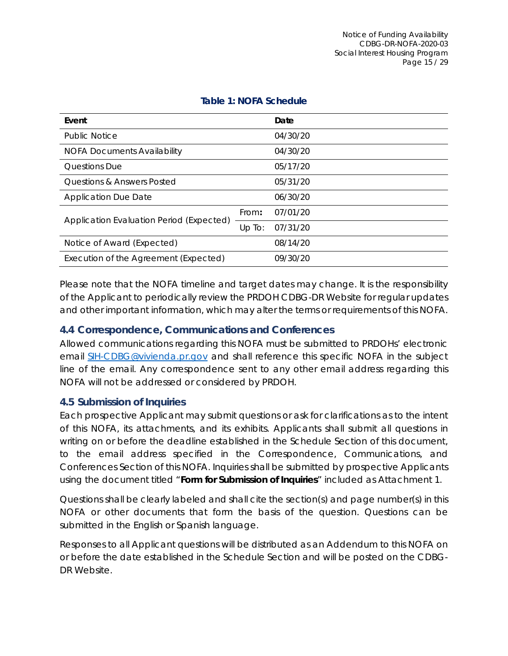#### **Table 1: NOFA Schedule**

| Event                                    |          | Date     |
|------------------------------------------|----------|----------|
| <b>Public Notice</b>                     | 04/30/20 |          |
| <b>NOFA Documents Availability</b>       |          | 04/30/20 |
| <b>Ouestions Due</b>                     |          | 05/17/20 |
| <b>Ouestions &amp; Answers Posted</b>    |          | 05/31/20 |
| <b>Application Due Date</b>              |          | 06/30/20 |
| Application Evaluation Period (Expected) | From:    | 07/01/20 |
|                                          | Up To:   | 07/31/20 |
| Notice of Award (Expected)               |          | 08/14/20 |
| Execution of the Agreement (Expected)    |          | 09/30/20 |

Please note that the NOFA timeline and target dates may change. It is the responsibility of the Applicant to periodically review the PRDOH CDBG-DR Website for regular updates and other important information, which may alter the terms or requirements of this NOFA.

#### <span id="page-15-0"></span>**4.4 Correspondence, Communications and Conferences**

Allowed communications regarding this NOFA must be submitted to PRDOHs' electronic email [SIH-CDBG@vivienda.pr.gov](mailto:SIH-CDBG@vivienda.pr.gov) and shall reference this specific NOFA in the subject line of the email. Any correspondence sent to any other email address regarding this NOFA will not be addressed or considered by PRDOH.

#### <span id="page-15-1"></span>**4.5 Submission of Inquiries**

Each prospective Applicant may submit questions or ask for clarifications as to the intent of this NOFA, its attachments, and its exhibits. Applicants shall submit all questions in writing on or before the deadline established in the Schedule Section of this document, to the email address specified in the Correspondence, Communications, and Conferences Section of this NOFA. Inquiries shall be submitted by prospective Applicants using the document titled "**Form for Submission of Inquiries**" included as Attachment 1.

Questions shall be clearly labeled and shall cite the section(s) and page number(s) in this NOFA or other documents that form the basis of the question. Questions can be submitted in the English or Spanish language.

Responses to all Applicant questions will be distributed as an Addendum to this NOFA on or before the date established in the Schedule Section and will be posted on the CDBG-DR Website.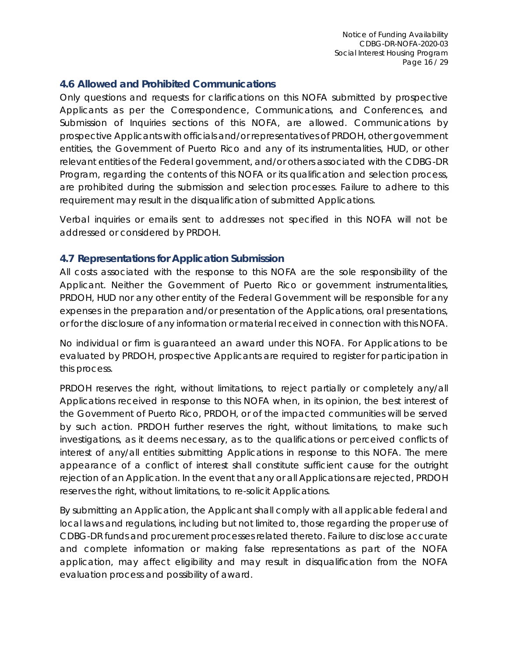#### <span id="page-16-0"></span>**4.6 Allowed and Prohibited Communications**

Only questions and requests for clarifications on this NOFA submitted by prospective Applicants as per the Correspondence, Communications, and Conferences, and Submission of Inquiries sections of this NOFA, are allowed. Communications by prospective Applicants with officials and/or representatives of PRDOH, other government entities, the Government of Puerto Rico and any of its instrumentalities, HUD, or other relevant entities of the Federal government, and/or others associated with the CDBG-DR Program, regarding the contents of this NOFA or its qualification and selection process, are prohibited during the submission and selection processes. Failure to adhere to this requirement may result in the disqualification of submitted Applications.

Verbal inquiries or emails sent to addresses not specified in this NOFA will not be addressed or considered by PRDOH.

#### <span id="page-16-1"></span>**4.7 Representations for Application Submission**

All costs associated with the response to this NOFA are the sole responsibility of the Applicant. Neither the Government of Puerto Rico or government instrumentalities, PRDOH, HUD nor any other entity of the Federal Government will be responsible for any expenses in the preparation and/or presentation of the Applications, oral presentations, or for the disclosure of any information or material received in connection with this NOFA.

No individual or firm is guaranteed an award under this NOFA. For Applications to be evaluated by PRDOH, prospective Applicants are required to register for participation in this process.

PRDOH reserves the right, without limitations, to reject partially or completely any/all Applications received in response to this NOFA when, in its opinion, the best interest of the Government of Puerto Rico, PRDOH, or of the impacted communities will be served by such action. PRDOH further reserves the right, without limitations, to make such investigations, as it deems necessary, as to the qualifications or perceived conflicts of interest of any/all entities submitting Applications in response to this NOFA. The mere appearance of a conflict of interest shall constitute sufficient cause for the outright rejection of an Application. In the event that any or all Applications are rejected, PRDOH reserves the right, without limitations, to re-solicit Applications.

By submitting an Application, the Applicant shall comply with all applicable federal and local laws and regulations, including but not limited to, those regarding the proper use of CDBG-DR funds and procurement processes related thereto. Failure to disclose accurate and complete information or making false representations as part of the NOFA application, may affect eligibility and may result in disqualification from the NOFA evaluation process and possibility of award.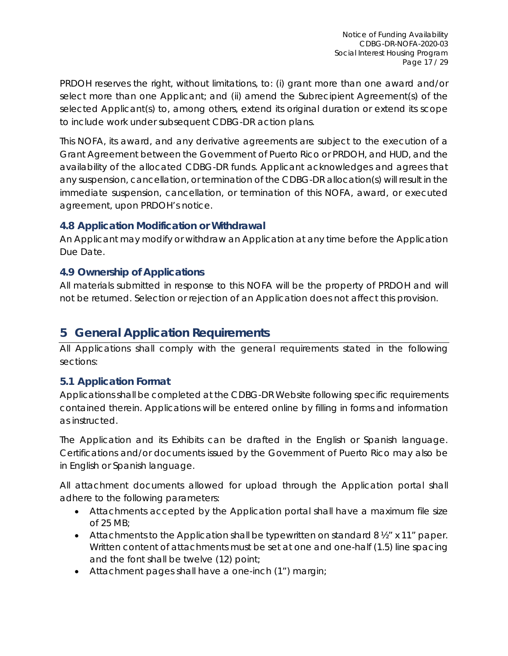PRDOH reserves the right, without limitations, to: (i) grant more than one award and/or select more than one Applicant; and (ii) amend the Subrecipient Agreement(s) of the selected Applicant(s) to, among others, extend its original duration or extend its scope to include work under subsequent CDBG-DR action plans.

This NOFA, its award, and any derivative agreements are subject to the execution of a Grant Agreement between the Government of Puerto Rico or PRDOH, and HUD, and the availability of the allocated CDBG-DR funds. Applicant acknowledges and agrees that any suspension, cancellation, or termination of the CDBG-DR allocation(s) will result in the immediate suspension, cancellation, or termination of this NOFA, award, or executed agreement, upon PRDOH's notice.

#### <span id="page-17-0"></span>**4.8 Application Modification or Withdrawal**

An Applicant may modify or withdraw an Application at any time before the Application Due Date.

#### <span id="page-17-1"></span>**4.9 Ownership of Applications**

All materials submitted in response to this NOFA will be the property of PRDOH and will not be returned. Selection or rejection of an Application does not affect this provision.

## <span id="page-17-2"></span>**5 General Application Requirements**

All Applications shall comply with the general requirements stated in the following sections:

#### <span id="page-17-3"></span>**5.1 Application Format**

Applications shall be completed at the CDBG-DR Website following specific requirements contained therein. Applications will be entered online by filling in forms and information as instructed.

The Application and its Exhibits can be drafted in the English or Spanish language. Certifications and/or documents issued by the Government of Puerto Rico may also be in English or Spanish language.

All attachment documents allowed for upload through the Application portal shall adhere to the following parameters:

- Attachments accepted by the Application portal shall have a maximum file size of 25 MB;
- Attachments to the Application shall be typewritten on standard 8  $\frac{1}{2}$  x 11" paper. Written content of attachments must be set at one and one-half (1.5) line spacing and the font shall be twelve (12) point;
- Attachment pages shall have a one-inch (1") margin;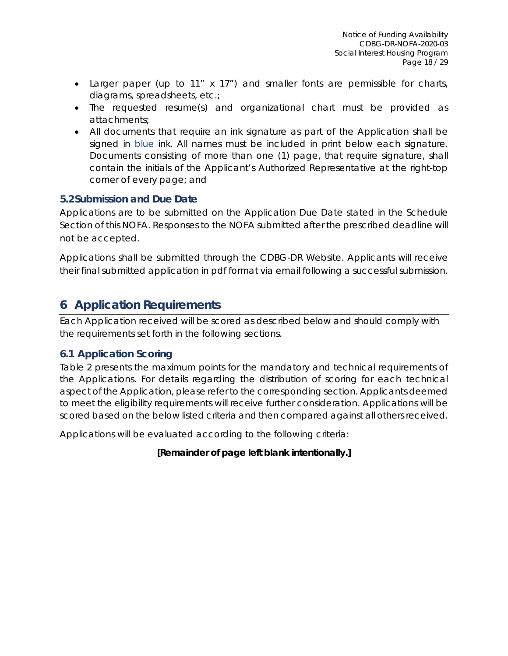- Larger paper (up to 11" x 17") and smaller fonts are permissible for charts, diagrams, spreadsheets, etc.;
- The requested resume(s) and organizational chart must be provided as attachments;
- All documents that require an ink signature as part of the Application shall be signed in blue ink. All names must be included in print below each signature. Documents consisting of more than one (1) page, that require signature, shall contain the initials of the Applicant's Authorized Representative at the right-top corner of every page; and

#### <span id="page-18-0"></span>**5.2Submission and Due Date**

Applications are to be submitted on the Application Due Date stated in the Schedule Section of this NOFA. Responses to the NOFA submitted after the prescribed deadline will not be accepted.

Applications shall be submitted through the CDBG-DR Website. Applicants will receive their final submitted application in pdf format via email following a successful submission.

## <span id="page-18-1"></span>**6 Application Requirements**

Each Application received will be scored as described below and should comply with the requirements set forth in the following sections.

#### <span id="page-18-2"></span>**6.1 Application Scoring**

Table 2 presents the maximum points for the mandatory and technical requirements of the Applications. For details regarding the distribution of scoring for each technical aspect of the Application, please refer to the corresponding section. Applicants deemed to meet the eligibility requirements will receive further consideration. Applications will be scored based on the below listed criteria and then compared against all others received.

Applications will be evaluated according to the following criteria:

#### **[Remainder of page left blank intentionally.]**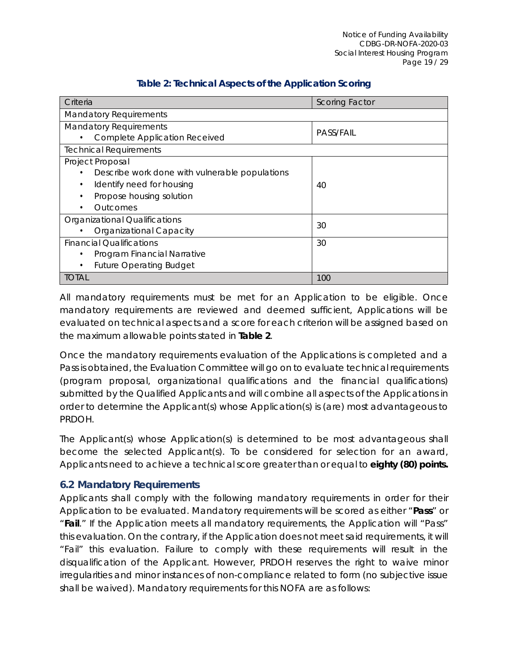| Criteria                                       | <b>Scoring Factor</b> |  |  |  |
|------------------------------------------------|-----------------------|--|--|--|
| <b>Mandatory Requirements</b>                  |                       |  |  |  |
| <b>Mandatory Requirements</b>                  | <b>PASS/FAIL</b>      |  |  |  |
| <b>Complete Application Received</b>           |                       |  |  |  |
| <b>Technical Requirements</b>                  |                       |  |  |  |
| Project Proposal                               |                       |  |  |  |
| Describe work done with vulnerable populations |                       |  |  |  |
| Identify need for housing<br>٠                 | 40                    |  |  |  |
| Propose housing solution                       |                       |  |  |  |
| Outcomes<br>٠                                  |                       |  |  |  |
| Organizational Qualifications                  | 30                    |  |  |  |
| Organizational Capacity<br>$\bullet$           |                       |  |  |  |
| <b>Financial Qualifications</b>                | 30                    |  |  |  |
| Program Financial Narrative<br>٠               |                       |  |  |  |
| <b>Future Operating Budget</b><br>$\bullet$    |                       |  |  |  |
| <b>TOTAL</b>                                   | 100                   |  |  |  |

#### **Table 2: Technical Aspects of the Application Scoring**

All mandatory requirements must be met for an Application to be eligible. Once mandatory requirements are reviewed and deemed sufficient, Applications will be evaluated on technical aspects and a score for each criterion will be assigned based on the maximum allowable points stated in **Table 2**.

Once the mandatory requirements evaluation of the Applications is completed and a Pass is obtained, the Evaluation Committee will go on to evaluate technical requirements (program proposal, organizational qualifications and the financial qualifications) submitted by the Qualified Applicants and will combine all aspects of the Applications in order to determine the Applicant(s) whose Application(s) is (are) most advantageous to PRDOH.

The Applicant(s) whose Application(s) is determined to be most advantageous shall become the selected Applicant(s). To be considered for selection for an award, Applicants need to achieve a technical score greater than or equal to **eighty (80) points.**

#### <span id="page-19-0"></span>**6.2 Mandatory Requirements**

Applicants shall comply with the following mandatory requirements in order for their Application to be evaluated. Mandatory requirements will be scored as either "**Pass**" or "**Fail**." If the Application meets all mandatory requirements, the Application will "Pass" this evaluation. On the contrary, if the Application does not meet said requirements, it will "Fail" this evaluation. Failure to comply with these requirements will result in the disqualification of the Applicant. However, PRDOH reserves the right to waive minor irregularities and minor instances of non-compliance related to form (no subjective issue shall be waived). Mandatory requirements for this NOFA are as follows: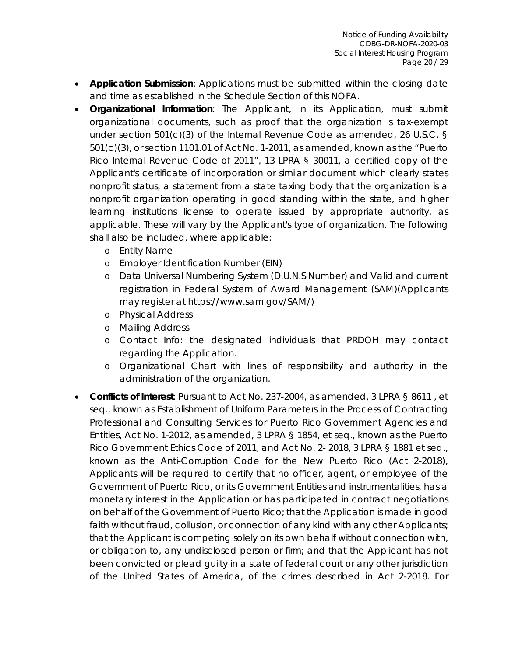- **Application Submission**: Applications must be submitted within the closing date and time as established in the Schedule Section of this NOFA.
- **Organizational Information**: The Applicant, in its Application, must submit organizational documents, such as proof that the organization is tax-exempt under section 501(c)(3) of the Internal Revenue Code as amended, 26 U.S.C. § 501(c)(3), or section 1101.01 of Act No. 1-2011, as amended, known as the "Puerto Rico Internal Revenue Code of 2011", 13 LPRA § 30011, a certified copy of the Applicant's certificate of incorporation or similar document which clearly states nonprofit status, a statement from a state taxing body that the organization is a nonprofit organization operating in good standing within the state, and higher learning institutions license to operate issued by appropriate authority, as applicable. These will vary by the Applicant's type of organization. The following shall also be included, where applicable:
	- o Entity Name
	- o Employer Identification Number (EIN)
	- o Data Universal Numbering System (D.U.N.S Number) and Valid and current registration in Federal System of Award Management (SAM)(Applicants may register at https://www.sam.gov/SAM/)
	- o Physical Address
	- o Mailing Address
	- o Contact Info: the designated individuals that PRDOH may contact regarding the Application.
	- o Organizational Chart with lines of responsibility and authority in the administration of the organization.
- **Conflicts of Interest**: Pursuant to Act No. 237-2004, as amended, 3 LPRA § 8611 *, et seq.*, known as Establishment of Uniform Parameters in the Process of Contracting Professional and Consulting Services for Puerto Rico Government Agencies and Entities, Act No. 1-2012, as amended, 3 LPRA § 1854, *et seq.*, known as the Puerto Rico Government Ethics Code of 2011, and Act No. 2- 2018, 3 LPRA § 1881 *et seq*., known as the Anti-Corruption Code for the New Puerto Rico (Act 2-2018), Applicants will be required to certify that no officer, agent, or employee of the Government of Puerto Rico, or its Government Entities and instrumentalities, has a monetary interest in the Application or has participated in contract negotiations on behalf of the Government of Puerto Rico; that the Application is made in good faith without fraud, collusion, or connection of any kind with any other Applicants; that the Applicant is competing solely on its own behalf without connection with, or obligation to, any undisclosed person or firm; and that the Applicant has not been convicted or plead guilty in a state of federal court or any other jurisdiction of the United States of America, of the crimes described in Act 2-2018. For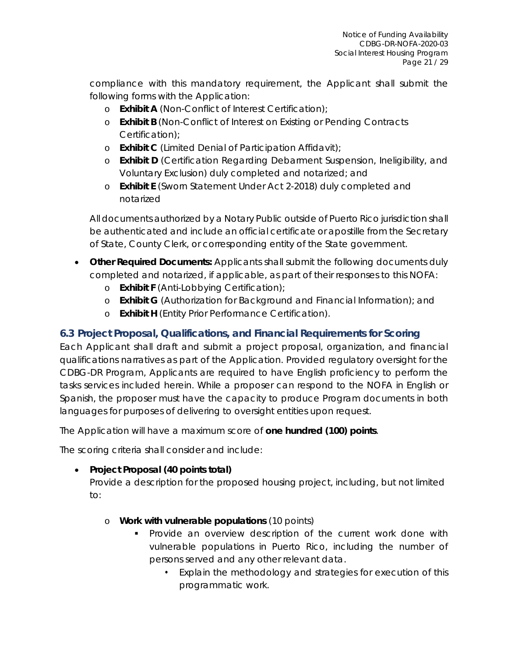compliance with this mandatory requirement, the Applicant shall submit the following forms with the Application:

- o **Exhibit A** (Non-Conflict of Interest Certification);
- o **Exhibit B** (Non-Conflict of Interest on Existing or Pending Contracts Certification);
- o **Exhibit C** (Limited Denial of Participation Affidavit);
- o **Exhibit D** (Certification Regarding Debarment Suspension, Ineligibility, and Voluntary Exclusion) duly completed and notarized; and
- o **Exhibit E** (Sworn Statement Under Act 2-2018) duly completed and notarized

All documents authorized by a Notary Public outside of Puerto Rico jurisdiction shall be authenticated and include an official certificate or apostille from the Secretary of State, County Clerk, or corresponding entity of the State government.

- **Other Required Documents:** Applicants shall submit the following documents duly completed and notarized, if applicable, as part of their responses to this NOFA:
	- o **Exhibit F** (Anti-Lobbying Certification);
	- o **Exhibit G** (Authorization for Background and Financial Information); and
	- o **Exhibit H** (Entity Prior Performance Certification).

#### <span id="page-21-0"></span>**6.3 Project Proposal, Qualifications, and Financial Requirements for Scoring**

Each Applicant shall draft and submit a project proposal, organization, and financial qualifications narratives as part of the Application. Provided regulatory oversight for the CDBG-DR Program, Applicants are required to have English proficiency to perform the tasks services included herein. While a proposer can respond to the NOFA in English or Spanish, the proposer must have the capacity to produce Program documents in both languages for purposes of delivering to oversight entities upon request.

The Application will have a maximum score of **one hundred (100) points**.

The scoring criteria shall consider and include:

#### • **Project Proposal (40 points total)**

Provide a description for the proposed housing project, including, but not limited to:

- o **Work with vulnerable populations** (10 points)
	- Provide an overview description of the current work done with vulnerable populations in Puerto Rico, including the number of persons served and any other relevant data.
		- Explain the methodology and strategies for execution of this programmatic work.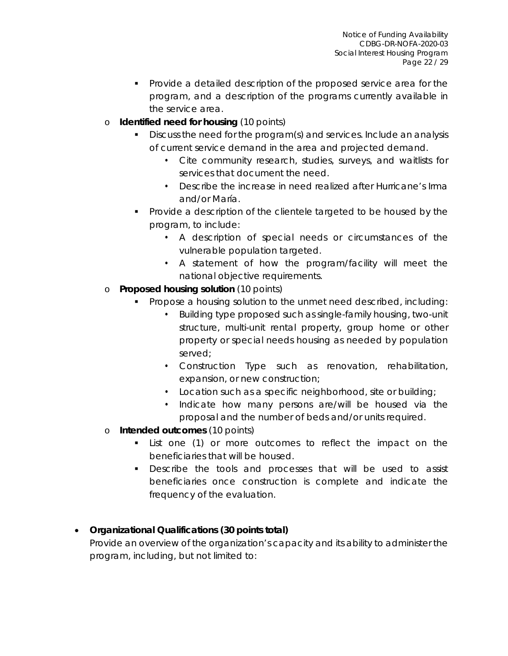- **Provide a detailed description of the proposed service area for the** program, and a description of the programs currently available in the service area.
- o **Identified need for housing** (10 points)
	- Discuss the need for the program(s) and services. Include an analysis of current service demand in the area and projected demand.
		- Cite community research, studies, surveys, and waitlists for services that document the need.
		- Describe the increase in need realized after Hurricane's Irma and/or María.
	- **Provide a description of the clientele targeted to be housed by the** program, to include:
		- A description of special needs or circumstances of the vulnerable population targeted.
		- A statement of how the program/facility will meet the national objective requirements.
- o **Proposed housing solution** (10 points)
	- Propose a housing solution to the unmet need described, including:
		- Building type proposed such as single-family housing, two-unit structure, multi-unit rental property, group home or other property or special needs housing as needed by population served;
		- Construction Type such as renovation, rehabilitation, expansion, or new construction;
		- Location such as a specific neighborhood, site or building;
		- Indicate how many persons are/will be housed via the proposal and the number of beds and/or units required.
- o **Intended outcomes** (10 points)
	- List one (1) or more outcomes to reflect the impact on the beneficiaries that will be housed.
	- **•** Describe the tools and processes that will be used to assist beneficiaries once construction is complete and indicate the frequency of the evaluation.
- **Organizational Qualifications (30 points total)**

Provide an overview of the organization's capacity and its ability to administer the program, including, but not limited to: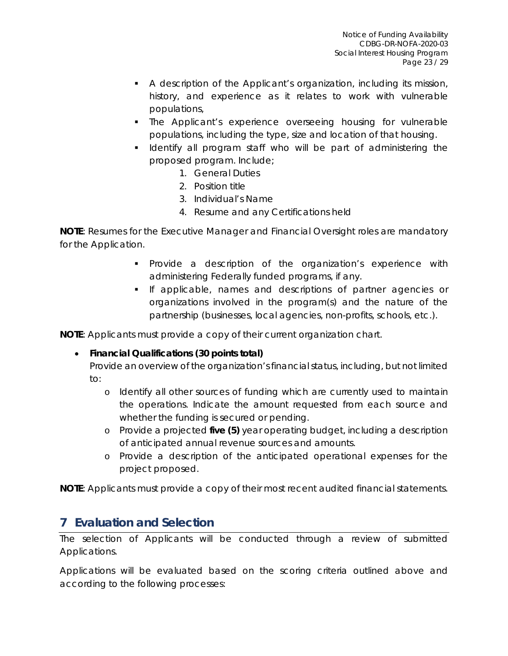- A description of the Applicant's organization, including its mission, history, and experience as it relates to work with vulnerable populations,
- The Applicant's experience overseeing housing for vulnerable populations, including the type, size and location of that housing.
- I dentify all program staff who will be part of administering the proposed program. Include;
	- 1. General Duties
	- 2. Position title
	- 3. Individual's Name
	- 4. Resume and any Certifications held

**NOTE**: Resumes for the Executive Manager and Financial Oversight roles are mandatory for the Application.

- **Provide a description of the organization's experience with** administering Federally funded programs, if any.
- If applicable, names and descriptions of partner agencies or organizations involved in the program(s) and the nature of the partnership (businesses, local agencies, non-profits, schools, etc.).

**NOTE**: Applicants must provide a copy of their current organization chart.

#### • **Financial Qualifications (30 points total)**

Provide an overview of the organization's financial status, including, but not limited to:

- o Identify all other sources of funding which are currently used to maintain the operations. Indicate the amount requested from each source and whether the funding is secured or pending.
- o Provide a projected **five (5)** year operating budget, including a description of anticipated annual revenue sources and amounts.
- o Provide a description of the anticipated operational expenses for the project proposed.

**NOTE**: Applicants must provide a copy of their most recent audited financial statements.

## <span id="page-23-0"></span>**7 Evaluation and Selection**

The selection of Applicants will be conducted through a review of submitted Applications.

Applications will be evaluated based on the scoring criteria outlined above and according to the following processes: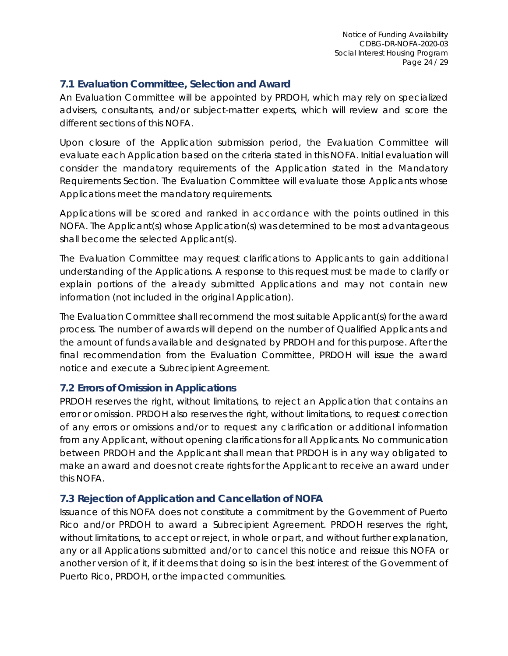#### <span id="page-24-0"></span>**7.1 Evaluation Committee, Selection and Award**

An Evaluation Committee will be appointed by PRDOH, which may rely on specialized advisers, consultants, and/or subject-matter experts, which will review and score the different sections of this NOFA.

Upon closure of the Application submission period, the Evaluation Committee will evaluate each Application based on the criteria stated in this NOFA. Initial evaluation will consider the mandatory requirements of the Application stated in the Mandatory Requirements Section. The Evaluation Committee will evaluate those Applicants whose Applications meet the mandatory requirements.

Applications will be scored and ranked in accordance with the points outlined in this NOFA. The Applicant(s) whose Application(s) was determined to be most advantageous shall become the selected Applicant(s).

The Evaluation Committee may request clarifications to Applicants to gain additional understanding of the Applications. A response to this request must be made to clarify or explain portions of the already submitted Applications and may not contain new information (not included in the original Application).

The Evaluation Committee shall recommend the most suitable Applicant(s) for the award process. The number of awards will depend on the number of Qualified Applicants and the amount of funds available and designated by PRDOH and for this purpose. After the final recommendation from the Evaluation Committee, PRDOH will issue the award notice and execute a Subrecipient Agreement.

#### <span id="page-24-1"></span>**7.2 Errors of Omission in Applications**

PRDOH reserves the right, without limitations, to reject an Application that contains an error or omission. PRDOH also reserves the right, without limitations, to request correction of any errors or omissions and/or to request any clarification or additional information from any Applicant, without opening clarifications for all Applicants. No communication between PRDOH and the Applicant shall mean that PRDOH is in any way obligated to make an award and does not create rights for the Applicant to receive an award under this NOFA.

#### <span id="page-24-2"></span>**7.3 Rejection of Application and Cancellation of NOFA**

Issuance of this NOFA does not constitute a commitment by the Government of Puerto Rico and/or PRDOH to award a Subrecipient Agreement. PRDOH reserves the right, without limitations, to accept or reject, in whole or part, and without further explanation, any or all Applications submitted and/or to cancel this notice and reissue this NOFA or another version of it, if it deems that doing so is in the best interest of the Government of Puerto Rico, PRDOH, or the impacted communities.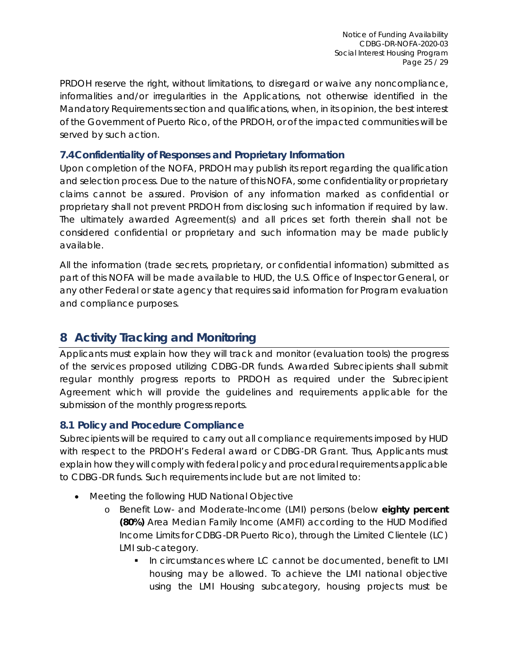PRDOH reserve the right, without limitations, to disregard or waive any noncompliance, informalities and/or irregularities in the Applications, not otherwise identified in the Mandatory Requirements section and qualifications, when, in its opinion, the best interest of the Government of Puerto Rico, of the PRDOH, or of the impacted communities will be served by such action.

#### <span id="page-25-0"></span>**7.4Confidentiality of Responses and Proprietary Information**

Upon completion of the NOFA, PRDOH may publish its report regarding the qualification and selection process. Due to the nature of this NOFA, some confidentiality or proprietary claims cannot be assured. Provision of any information marked as confidential or proprietary shall not prevent PRDOH from disclosing such information if required by law. The ultimately awarded Agreement(s) and all prices set forth therein shall not be considered confidential or proprietary and such information may be made publicly available.

All the information (trade secrets, proprietary, or confidential information) submitted as part of this NOFA will be made available to HUD, the U.S. Office of Inspector General, or any other Federal or state agency that requires said information for Program evaluation and compliance purposes.

## <span id="page-25-1"></span>**8 Activity Tracking and Monitoring**

Applicants must explain how they will track and monitor (evaluation tools) the progress of the services proposed utilizing CDBG-DR funds. Awarded Subrecipients shall submit regular monthly progress reports to PRDOH as required under the Subrecipient Agreement which will provide the guidelines and requirements applicable for the submission of the monthly progress reports.

#### <span id="page-25-2"></span>**8.1 Policy and Procedure Compliance**

Subrecipients will be required to carry out all compliance requirements imposed by HUD with respect to the PRDOH's Federal award or CDBG-DR Grant. Thus, Applicants must explain how they will comply with federal policy and procedural requirements applicable to CDBG-DR funds. Such requirements include but are not limited to:

- Meeting the following HUD National Objective
	- o Benefit Low- and Moderate-Income (LMI) persons (below **eighty percent (80%)** Area Median Family Income (AMFI) according to the HUD Modified Income Limits for CDBG-DR Puerto Rico), through the Limited Clientele (LC) LMI sub-category.
		- In circumstances where LC cannot be documented, benefit to LMI housing may be allowed. To achieve the LMI national objective using the LMI Housing subcategory, housing projects must be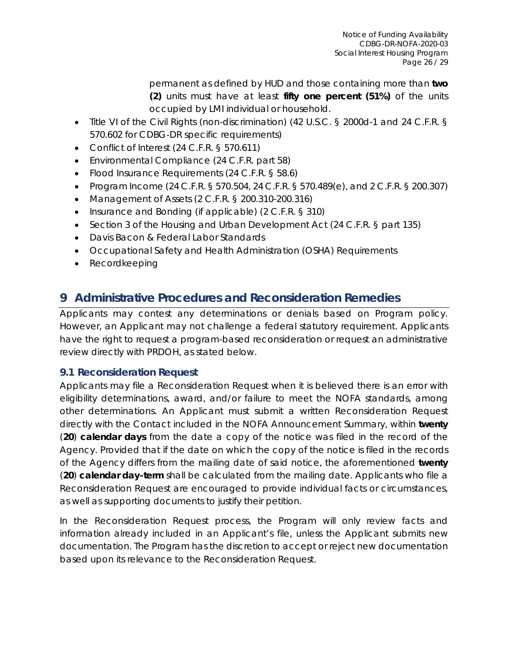permanent as defined by HUD and those containing more than **two (2)** units must have at least **fifty one percent (51%)** of the units occupied by LMI individual or household.

- Title VI of the Civil Rights (non-discrimination) (42 U.S.C. § 2000d-1 and 24 C.F.R. § 570.602 for CDBG-DR specific requirements)
- Conflict of Interest (24 C.F.R. § 570.611)
- Environmental Compliance (24 C.F.R. part 58)
- Flood Insurance Requirements (24 C.F.R. § 58.6)
- Program Income (24 C.F.R. § 570.504, 24 C.F.R. § 570.489(e), and 2 C.F.R. § 200.307)
- Management of Assets (2 C.F.R. § 200.310-200.316)
- Insurance and Bonding (if applicable) (2 C.F.R. § 310)
- Section 3 of the Housing and Urban Development Act (24 C.F.R. § part 135)
- Davis Bacon & Federal Labor Standards
- Occupational Safety and Health Administration (OSHA) Requirements
- <span id="page-26-0"></span>• Recordkeeping

## **9 Administrative Procedures and Reconsideration Remedies**

Applicants may contest any determinations or denials based on Program policy. However, an Applicant may not challenge a federal statutory requirement. Applicants have the right to request a program-based reconsideration or request an administrative review directly with PRDOH, as stated below.

#### <span id="page-26-1"></span>**9.1 Reconsideration Request**

Applicants may file a Reconsideration Request when it is believed there is an error with eligibility determinations, award, and/or failure to meet the NOFA standards, among other determinations. An Applicant must submit a written Reconsideration Request directly with the Contact included in the NOFA Announcement Summary, within **twenty** (**20**) **calendar days** from the date a copy of the notice was filed in the record of the Agency. Provided that if the date on which the copy of the notice is filed in the records of the Agency differs from the mailing date of said notice, the aforementioned **twenty** (**20**) **calendar day-term** shall be calculated from the mailing date. Applicants who file a Reconsideration Request are encouraged to provide individual facts or circumstances, as well as supporting documents to justify their petition.

In the Reconsideration Request process, the Program will only review facts and information already included in an Applicant's file, unless the Applicant submits new documentation. The Program has the discretion to accept or reject new documentation based upon its relevance to the Reconsideration Request.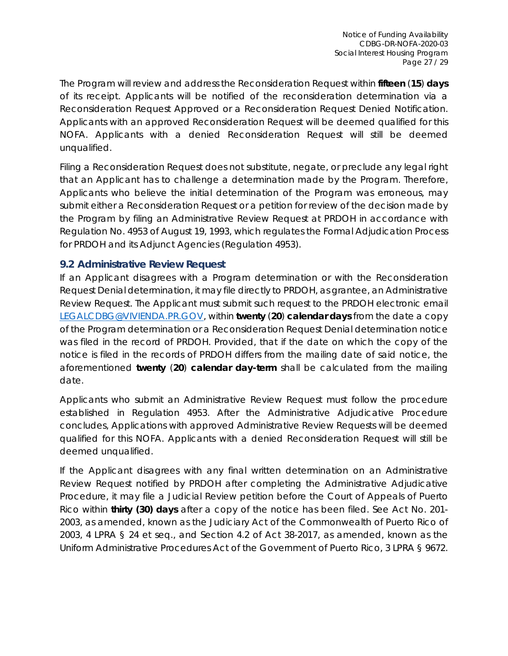The Program will review and address the Reconsideration Request within **fifteen** (**15**) **days** of its receipt. Applicants will be notified of the reconsideration determination via a Reconsideration Request Approved or a Reconsideration Request Denied Notification. Applicants with an approved Reconsideration Request will be deemed qualified for this NOFA. Applicants with a denied Reconsideration Request will still be deemed unqualified.

Filing a Reconsideration Request does not substitute, negate, or preclude any legal right that an Applicant has to challenge a determination made by the Program. Therefore, Applicants who believe the initial determination of the Program was erroneous, may submit either a Reconsideration Request or a petition for review of the decision made by the Program by filing an Administrative Review Request at PRDOH in accordance with Regulation No. 4953 of August 19, 1993, which regulates the Formal Adjudication Process for PRDOH and its Adjunct Agencies (Regulation 4953).

#### <span id="page-27-0"></span>**9.2 Administrative Review Request**

If an Applicant disagrees with a Program determination or with the Reconsideration Request Denial determination, it may file directly to PRDOH, as grantee, an Administrative Review Request. The Applicant must submit such request to the PRDOH electronic email [LEGALCDBG@VIVIENDA.PR.GOV,](mailto:LEGALCDBG@VIVIENDA.PR.GOV) within **twenty** (**20**) **calendar days** from the date a copy of the Program determination or a Reconsideration Request Denial determination notice was filed in the record of PRDOH. Provided, that if the date on which the copy of the notice is filed in the records of PRDOH differs from the mailing date of said notice, the aforementioned **twenty** (**20**) **calendar day-term** shall be calculated from the mailing date.

Applicants who submit an Administrative Review Request must follow the procedure established in Regulation 4953. After the Administrative Adjudicative Procedure concludes, Applications with approved Administrative Review Requests will be deemed qualified for this NOFA. Applicants with a denied Reconsideration Request will still be deemed unqualified.

If the Applicant disagrees with any final written determination on an Administrative Review Request notified by PRDOH after completing the Administrative Adjudicative Procedure, it may file a Judicial Review petition before the Court of Appeals of Puerto Rico within **thirty (30) days** after a copy of the notice has been filed. See Act No. 201- 2003, as amended, known as the Judiciary Act of the Commonwealth of Puerto Rico of 2003, 4 LPRA § 24 et seq., and Section 4.2 of Act 38-2017, as amended, known as the Uniform Administrative Procedures Act of the Government of Puerto Rico, 3 LPRA § 9672.